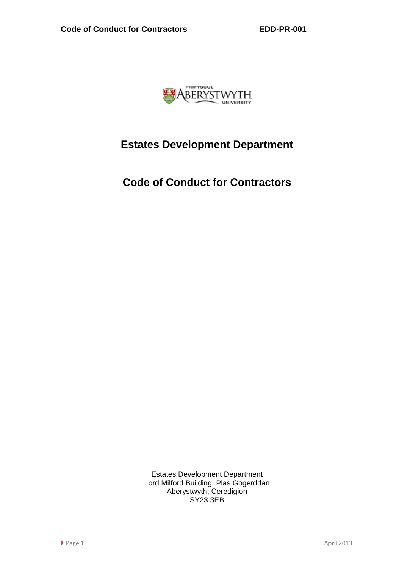

# **Estates Development Department**

**Code of Conduct for Contractors** 

Estates Development Department Lord Milford Building, Plas Gogerddan Aberystwyth, Ceredigion SY23 3EB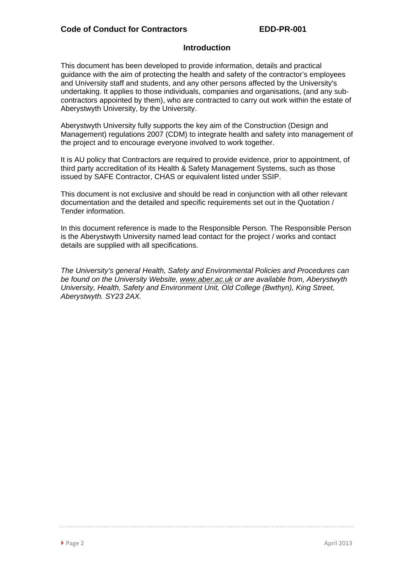# **Introduction**

This document has been developed to provide information, details and practical guidance with the aim of protecting the health and safety of the contractor's employees and University staff and students, and any other persons affected by the University's undertaking. It applies to those individuals, companies and organisations, (and any subcontractors appointed by them), who are contracted to carry out work within the estate of Aberystwyth University, by the University.

Aberystwyth University fully supports the key aim of the Construction (Design and Management) regulations 2007 (CDM) to integrate health and safety into management of the project and to encourage everyone involved to work together.

It is AU policy that Contractors are required to provide evidence, prior to appointment, of third party accreditation of its Health & Safety Management Systems, such as those issued by SAFE Contractor, CHAS or equivalent listed under SSIP.

This document is not exclusive and should be read in conjunction with all other relevant documentation and the detailed and specific requirements set out in the Quotation / Tender information.

In this document reference is made to the Responsible Person. The Responsible Person is the Aberystwyth University named lead contact for the project / works and contact details are supplied with all specifications.

*The University's general Health, Safety and Environmental Policies and Procedures can be found on the University Website, www.aber.ac.uk or are available from, Aberystwyth University, Health, Safety and Environment Unit, Old College (Bwthyn), King Street, Aberystwyth. SY23 2AX.*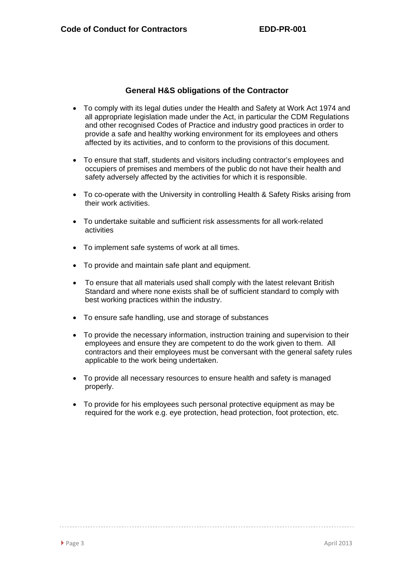# **General H&S obligations of the Contractor**

- To comply with its legal duties under the Health and Safety at Work Act 1974 and all appropriate legislation made under the Act, in particular the CDM Regulations and other recognised Codes of Practice and industry good practices in order to provide a safe and healthy working environment for its employees and others affected by its activities, and to conform to the provisions of this document.
- To ensure that staff, students and visitors including contractor's employees and occupiers of premises and members of the public do not have their health and safety adversely affected by the activities for which it is responsible.
- To co-operate with the University in controlling Health & Safety Risks arising from their work activities.
- To undertake suitable and sufficient risk assessments for all work-related activities
- To implement safe systems of work at all times.
- To provide and maintain safe plant and equipment.
- To ensure that all materials used shall comply with the latest relevant British Standard and where none exists shall be of sufficient standard to comply with best working practices within the industry.
- To ensure safe handling, use and storage of substances
- To provide the necessary information, instruction training and supervision to their employees and ensure they are competent to do the work given to them. All contractors and their employees must be conversant with the general safety rules applicable to the work being undertaken.
- To provide all necessary resources to ensure health and safety is managed properly.
- To provide for his employees such personal protective equipment as may be required for the work e.g. eye protection, head protection, foot protection, etc.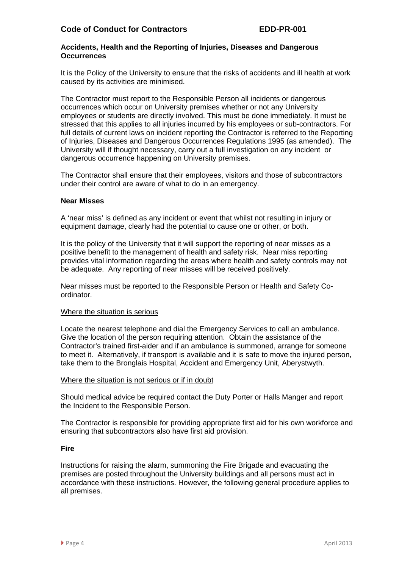## **Accidents, Health and the Reporting of Injuries, Diseases and Dangerous Occurrences**

It is the Policy of the University to ensure that the risks of accidents and ill health at work caused by its activities are minimised.

The Contractor must report to the Responsible Person all incidents or dangerous occurrences which occur on University premises whether or not any University employees or students are directly involved. This must be done immediately. It must be stressed that this applies to all injuries incurred by his employees or sub-contractors. For full details of current laws on incident reporting the Contractor is referred to the Reporting of Injuries, Diseases and Dangerous Occurrences Regulations 1995 (as amended). The University will if thought necessary, carry out a full investigation on any incident or dangerous occurrence happening on University premises.

The Contractor shall ensure that their employees, visitors and those of subcontractors under their control are aware of what to do in an emergency.

## **Near Misses**

A 'near miss' is defined as any incident or event that whilst not resulting in injury or equipment damage, clearly had the potential to cause one or other, or both.

It is the policy of the University that it will support the reporting of near misses as a positive benefit to the management of health and safety risk. Near miss reporting provides vital information regarding the areas where health and safety controls may not be adequate. Any reporting of near misses will be received positively.

Near misses must be reported to the Responsible Person or Health and Safety Coordinator.

#### Where the situation is serious

Locate the nearest telephone and dial the Emergency Services to call an ambulance. Give the location of the person requiring attention. Obtain the assistance of the Contractor's trained first-aider and if an ambulance is summoned, arrange for someone to meet it. Alternatively, if transport is available and it is safe to move the injured person, take them to the Bronglais Hospital, Accident and Emergency Unit, Aberystwyth.

#### Where the situation is not serious or if in doubt

Should medical advice be required contact the Duty Porter or Halls Manger and report the Incident to the Responsible Person.

The Contractor is responsible for providing appropriate first aid for his own workforce and ensuring that subcontractors also have first aid provision.

# **Fire**

Instructions for raising the alarm, summoning the Fire Brigade and evacuating the premises are posted throughout the University buildings and all persons must act in accordance with these instructions. However, the following general procedure applies to all premises.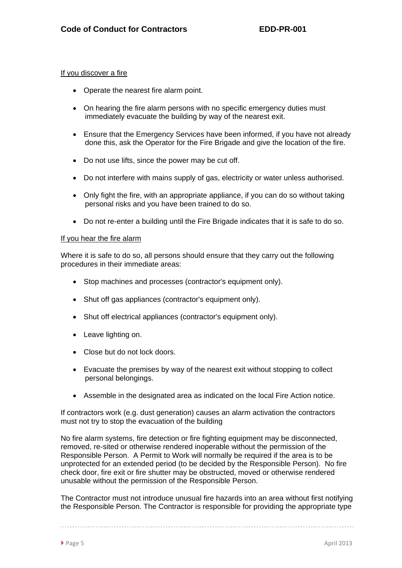#### If you discover a fire

- Operate the nearest fire alarm point.
- On hearing the fire alarm persons with no specific emergency duties must immediately evacuate the building by way of the nearest exit.
- Ensure that the Emergency Services have been informed, if you have not already done this, ask the Operator for the Fire Brigade and give the location of the fire.
- Do not use lifts, since the power may be cut off.
- Do not interfere with mains supply of gas, electricity or water unless authorised.
- Only fight the fire, with an appropriate appliance, if you can do so without taking personal risks and you have been trained to do so.
- Do not re-enter a building until the Fire Brigade indicates that it is safe to do so.

## If you hear the fire alarm

Where it is safe to do so, all persons should ensure that they carry out the following procedures in their immediate areas:

- Stop machines and processes (contractor's equipment only).
- Shut off gas appliances (contractor's equipment only).
- Shut off electrical appliances (contractor's equipment only).
- Leave lighting on.
- Close but do not lock doors.
- Evacuate the premises by way of the nearest exit without stopping to collect personal belongings.
- Assemble in the designated area as indicated on the local Fire Action notice.

If contractors work (e.g. dust generation) causes an alarm activation the contractors must not try to stop the evacuation of the building

No fire alarm systems, fire detection or fire fighting equipment may be disconnected, removed, re-sited or otherwise rendered inoperable without the permission of the Responsible Person. A Permit to Work will normally be required if the area is to be unprotected for an extended period (to be decided by the Responsible Person). No fire check door, fire exit or fire shutter may be obstructed, moved or otherwise rendered unusable without the permission of the Responsible Person.

The Contractor must not introduce unusual fire hazards into an area without first notifying the Responsible Person. The Contractor is responsible for providing the appropriate type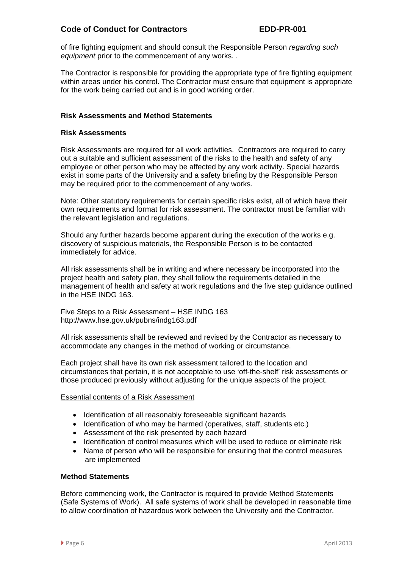of fire fighting equipment and should consult the Responsible Person *regarding such equipment* prior to the commencement of any works. .

The Contractor is responsible for providing the appropriate type of fire fighting equipment within areas under his control. The Contractor must ensure that equipment is appropriate for the work being carried out and is in good working order.

# **Risk Assessments and Method Statements**

#### **Risk Assessments**

Risk Assessments are required for all work activities. Contractors are required to carry out a suitable and sufficient assessment of the risks to the health and safety of any employee or other person who may be affected by any work activity. Special hazards exist in some parts of the University and a safety briefing by the Responsible Person may be required prior to the commencement of any works.

Note: Other statutory requirements for certain specific risks exist, all of which have their own requirements and format for risk assessment. The contractor must be familiar with the relevant legislation and regulations.

Should any further hazards become apparent during the execution of the works e.g. discovery of suspicious materials, the Responsible Person is to be contacted immediately for advice.

All risk assessments shall be in writing and where necessary be incorporated into the project health and safety plan, they shall follow the requirements detailed in the management of health and safety at work regulations and the five step guidance outlined in the HSE INDG 163.

Five Steps to a Risk Assessment – HSE INDG 163 http://www.hse.gov.uk/pubns/indg163.pdf

All risk assessments shall be reviewed and revised by the Contractor as necessary to accommodate any changes in the method of working or circumstance.

Each project shall have its own risk assessment tailored to the location and circumstances that pertain, it is not acceptable to use 'off-the-shelf' risk assessments or those produced previously without adjusting for the unique aspects of the project.

#### Essential contents of a Risk Assessment

- Identification of all reasonably foreseeable significant hazards
- Identification of who may be harmed (operatives, staff, students etc.)
- Assessment of the risk presented by each hazard
- Identification of control measures which will be used to reduce or eliminate risk
- Name of person who will be responsible for ensuring that the control measures are implemented

## **Method Statements**

Before commencing work, the Contractor is required to provide Method Statements (Safe Systems of Work). All safe systems of work shall be developed in reasonable time to allow coordination of hazardous work between the University and the Contractor.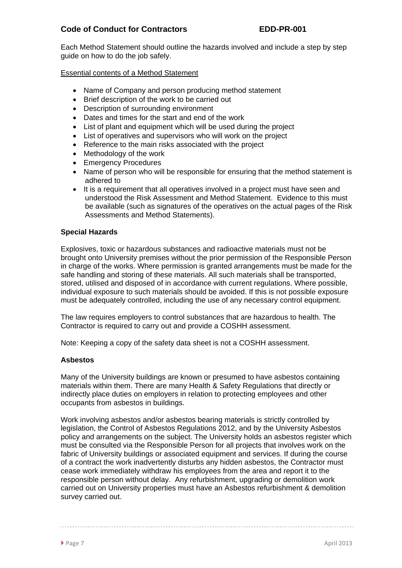Each Method Statement should outline the hazards involved and include a step by step guide on how to do the job safely.

Essential contents of a Method Statement

- Name of Company and person producing method statement
- Brief description of the work to be carried out
- Description of surrounding environment
- Dates and times for the start and end of the work
- List of plant and equipment which will be used during the project
- List of operatives and supervisors who will work on the project
- Reference to the main risks associated with the project
- Methodology of the work
- Emergency Procedures
- Name of person who will be responsible for ensuring that the method statement is adhered to
- It is a requirement that all operatives involved in a project must have seen and understood the Risk Assessment and Method Statement. Evidence to this must be available (such as signatures of the operatives on the actual pages of the Risk Assessments and Method Statements).

# **Special Hazards**

Explosives, toxic or hazardous substances and radioactive materials must not be brought onto University premises without the prior permission of the Responsible Person in charge of the works. Where permission is granted arrangements must be made for the safe handling and storing of these materials. All such materials shall be transported, stored, utilised and disposed of in accordance with current regulations. Where possible, individual exposure to such materials should be avoided. If this is not possible exposure must be adequately controlled, including the use of any necessary control equipment.

The law requires employers to control substances that are hazardous to health. The Contractor is required to carry out and provide a COSHH assessment.

Note: Keeping a copy of the safety data sheet is not a COSHH assessment.

# **Asbestos**

Many of the University buildings are known or presumed to have asbestos containing materials within them. There are many Health & Safety Regulations that directly or indirectly place duties on employers in relation to protecting employees and other occupants from asbestos in buildings.

Work involving asbestos and/or asbestos bearing materials is strictly controlled by legislation, the Control of Asbestos Regulations 2012, and by the University Asbestos policy and arrangements on the subject. The University holds an asbestos register which must be consulted via the Responsible Person for all projects that involves work on the fabric of University buildings or associated equipment and services. If during the course of a contract the work inadvertently disturbs any hidden asbestos, the Contractor must cease work immediately withdraw his employees from the area and report it to the responsible person without delay. Any refurbishment, upgrading or demolition work carried out on University properties must have an Asbestos refurbishment & demolition survey carried out.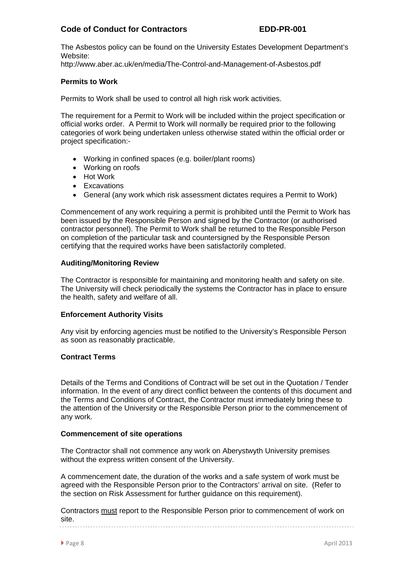The Asbestos policy can be found on the University Estates Development Department's Website:

http://www.aber.ac.uk/en/media/The-Control-and-Management-of-Asbestos.pdf

## **Permits to Work**

Permits to Work shall be used to control all high risk work activities.

The requirement for a Permit to Work will be included within the project specification or official works order. A Permit to Work will normally be required prior to the following categories of work being undertaken unless otherwise stated within the official order or project specification:-

- Working in confined spaces (e.g. boiler/plant rooms)
- Working on roofs
- Hot Work
- Excavations
- General (any work which risk assessment dictates requires a Permit to Work)

Commencement of any work requiring a permit is prohibited until the Permit to Work has been issued by the Responsible Person and signed by the Contractor (or authorised contractor personnel). The Permit to Work shall be returned to the Responsible Person on completion of the particular task and countersigned by the Responsible Person certifying that the required works have been satisfactorily completed.

#### **Auditing/Monitoring Review**

The Contractor is responsible for maintaining and monitoring health and safety on site. The University will check periodically the systems the Contractor has in place to ensure the health, safety and welfare of all.

#### **Enforcement Authority Visits**

Any visit by enforcing agencies must be notified to the University's Responsible Person as soon as reasonably practicable.

#### **Contract Terms**

Details of the Terms and Conditions of Contract will be set out in the Quotation / Tender information. In the event of any direct conflict between the contents of this document and the Terms and Conditions of Contract, the Contractor must immediately bring these to the attention of the University or the Responsible Person prior to the commencement of any work.

#### **Commencement of site operations**

The Contractor shall not commence any work on Aberystwyth University premises without the express written consent of the University.

A commencement date, the duration of the works and a safe system of work must be agreed with the Responsible Person prior to the Contractors' arrival on site. (Refer to the section on Risk Assessment for further guidance on this requirement).

Contractors must report to the Responsible Person prior to commencement of work on site.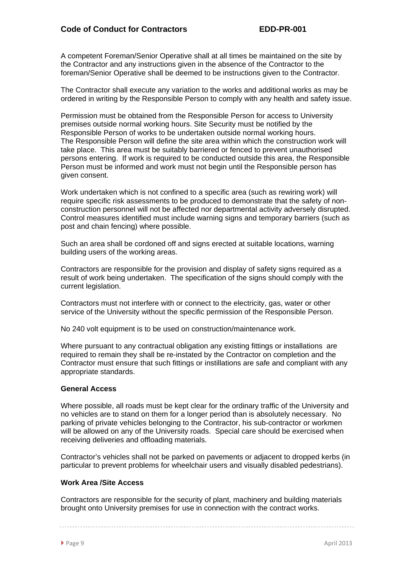A competent Foreman/Senior Operative shall at all times be maintained on the site by the Contractor and any instructions given in the absence of the Contractor to the foreman/Senior Operative shall be deemed to be instructions given to the Contractor.

The Contractor shall execute any variation to the works and additional works as may be ordered in writing by the Responsible Person to comply with any health and safety issue.

Permission must be obtained from the Responsible Person for access to University premises outside normal working hours. Site Security must be notified by the Responsible Person of works to be undertaken outside normal working hours. The Responsible Person will define the site area within which the construction work will take place. This area must be suitably barriered or fenced to prevent unauthorised persons entering. If work is required to be conducted outside this area, the Responsible Person must be informed and work must not begin until the Responsible person has given consent.

Work undertaken which is not confined to a specific area (such as rewiring work) will require specific risk assessments to be produced to demonstrate that the safety of nonconstruction personnel will not be affected nor departmental activity adversely disrupted. Control measures identified must include warning signs and temporary barriers (such as post and chain fencing) where possible.

Such an area shall be cordoned off and signs erected at suitable locations, warning building users of the working areas.

Contractors are responsible for the provision and display of safety signs required as a result of work being undertaken. The specification of the signs should comply with the current legislation.

Contractors must not interfere with or connect to the electricity, gas, water or other service of the University without the specific permission of the Responsible Person.

No 240 volt equipment is to be used on construction/maintenance work.

Where pursuant to any contractual obligation any existing fittings or installations are required to remain they shall be re-instated by the Contractor on completion and the Contractor must ensure that such fittings or instillations are safe and compliant with any appropriate standards.

# **General Access**

Where possible, all roads must be kept clear for the ordinary traffic of the University and no vehicles are to stand on them for a longer period than is absolutely necessary. No parking of private vehicles belonging to the Contractor, his sub-contractor or workmen will be allowed on any of the University roads. Special care should be exercised when receiving deliveries and offloading materials.

Contractor's vehicles shall not be parked on pavements or adjacent to dropped kerbs (in particular to prevent problems for wheelchair users and visually disabled pedestrians).

# **Work Area /Site Access**

Contractors are responsible for the security of plant, machinery and building materials brought onto University premises for use in connection with the contract works.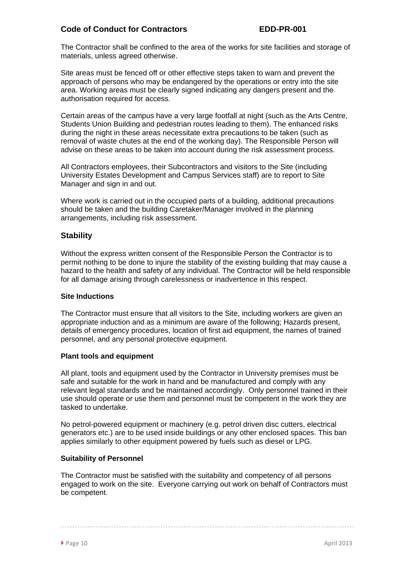The Contractor shall be confined to the area of the works for site facilities and storage of materials, unless agreed otherwise.

Site areas must be fenced off or other effective steps taken to warn and prevent the approach of persons who may be endangered by the operations or entry into the site area. Working areas must be clearly signed indicating any dangers present and the authorisation required for access.

Certain areas of the campus have a very large footfall at night (such as the Arts Centre, Students Union Building and pedestrian routes leading to them). The enhanced risks during the night in these areas necessitate extra precautions to be taken (such as removal of waste chutes at the end of the working day). The Responsible Person will advise on these areas to be taken into account during the risk assessment process.

All Contractors employees, their Subcontractors and visitors to the Site (including University Estates Development and Campus Services staff) are to report to Site Manager and sign in and out.

Where work is carried out in the occupied parts of a building, additional precautions should be taken and the building Caretaker/Manager involved in the planning arrangements, including risk assessment.

# **Stability**

Without the express written consent of the Responsible Person the Contractor is to permit nothing to be done to injure the stability of the existing building that may cause a hazard to the health and safety of any individual. The Contractor will be held responsible for all damage arising through carelessness or inadvertence in this respect.

#### **Site Inductions**

The Contractor must ensure that all visitors to the Site, including workers are given an appropriate induction and as a minimum are aware of the following; Hazards present, details of emergency procedures, location of first aid equipment, the names of trained personnel, and any personal protective equipment.

#### **Plant tools and equipment**

All plant, tools and equipment used by the Contractor in University premises must be safe and suitable for the work in hand and be manufactured and comply with any relevant legal standards and be maintained accordingly. Only personnel trained in their use should operate or use them and personnel must be competent in the work they are tasked to undertake.

No petrol-powered equipment or machinery (e.g. petrol driven disc cutters, electrical generators etc.) are to be used inside buildings or any other enclosed spaces. This ban applies similarly to other equipment powered by fuels such as diesel or LPG.

# **Suitability of Personnel**

The Contractor must be satisfied with the suitability and competency of all persons engaged to work on the site. Everyone carrying out work on behalf of Contractors must be competent.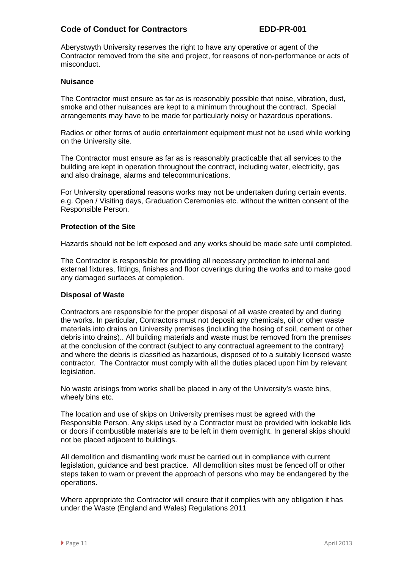Aberystwyth University reserves the right to have any operative or agent of the Contractor removed from the site and project, for reasons of non-performance or acts of misconduct.

## **Nuisance**

The Contractor must ensure as far as is reasonably possible that noise, vibration, dust, smoke and other nuisances are kept to a minimum throughout the contract. Special arrangements may have to be made for particularly noisy or hazardous operations.

Radios or other forms of audio entertainment equipment must not be used while working on the University site.

The Contractor must ensure as far as is reasonably practicable that all services to the building are kept in operation throughout the contract, including water, electricity, gas and also drainage, alarms and telecommunications.

For University operational reasons works may not be undertaken during certain events. e.g. Open / Visiting days, Graduation Ceremonies etc. without the written consent of the Responsible Person.

## **Protection of the Site**

Hazards should not be left exposed and any works should be made safe until completed.

The Contractor is responsible for providing all necessary protection to internal and external fixtures, fittings, finishes and floor coverings during the works and to make good any damaged surfaces at completion.

#### **Disposal of Waste**

Contractors are responsible for the proper disposal of all waste created by and during the works. In particular, Contractors must not deposit any chemicals, oil or other waste materials into drains on University premises (including the hosing of soil, cement or other debris into drains).. All building materials and waste must be removed from the premises at the conclusion of the contract (subject to any contractual agreement to the contrary) and where the debris is classified as hazardous, disposed of to a suitably licensed waste contractor. The Contractor must comply with all the duties placed upon him by relevant legislation.

No waste arisings from works shall be placed in any of the University's waste bins, wheely bins etc.

The location and use of skips on University premises must be agreed with the Responsible Person. Any skips used by a Contractor must be provided with lockable lids or doors if combustible materials are to be left in them overnight. In general skips should not be placed adjacent to buildings.

All demolition and dismantling work must be carried out in compliance with current legislation, guidance and best practice. All demolition sites must be fenced off or other steps taken to warn or prevent the approach of persons who may be endangered by the operations.

Where appropriate the Contractor will ensure that it complies with any obligation it has under the Waste (England and Wales) Regulations 2011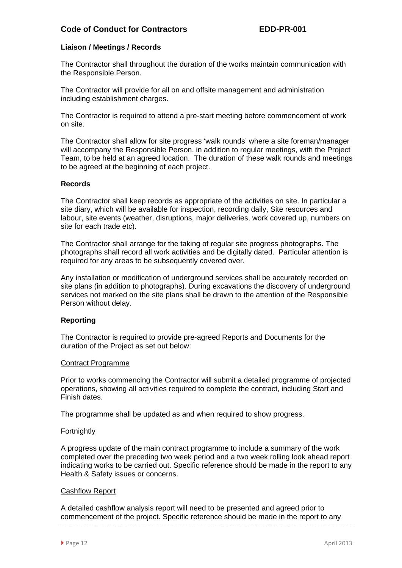# **Liaison / Meetings / Records**

The Contractor shall throughout the duration of the works maintain communication with the Responsible Person.

The Contractor will provide for all on and offsite management and administration including establishment charges.

The Contractor is required to attend a pre-start meeting before commencement of work on site.

The Contractor shall allow for site progress 'walk rounds' where a site foreman/manager will accompany the Responsible Person, in addition to regular meetings, with the Project Team, to be held at an agreed location. The duration of these walk rounds and meetings to be agreed at the beginning of each project.

## **Records**

The Contractor shall keep records as appropriate of the activities on site. In particular a site diary, which will be available for inspection, recording daily, Site resources and labour, site events (weather, disruptions, major deliveries, work covered up, numbers on site for each trade etc).

The Contractor shall arrange for the taking of regular site progress photographs. The photographs shall record all work activities and be digitally dated. Particular attention is required for any areas to be subsequently covered over.

Any installation or modification of underground services shall be accurately recorded on site plans (in addition to photographs). During excavations the discovery of underground services not marked on the site plans shall be drawn to the attention of the Responsible Person without delay.

# **Reporting**

The Contractor is required to provide pre-agreed Reports and Documents for the duration of the Project as set out below:

#### Contract Programme

Prior to works commencing the Contractor will submit a detailed programme of projected operations, showing all activities required to complete the contract, including Start and Finish dates.

The programme shall be updated as and when required to show progress.

#### **Fortnightly**

A progress update of the main contract programme to include a summary of the work completed over the preceding two week period and a two week rolling look ahead report indicating works to be carried out. Specific reference should be made in the report to any Health & Safety issues or concerns.

#### Cashflow Report

A detailed cashflow analysis report will need to be presented and agreed prior to commencement of the project. Specific reference should be made in the report to any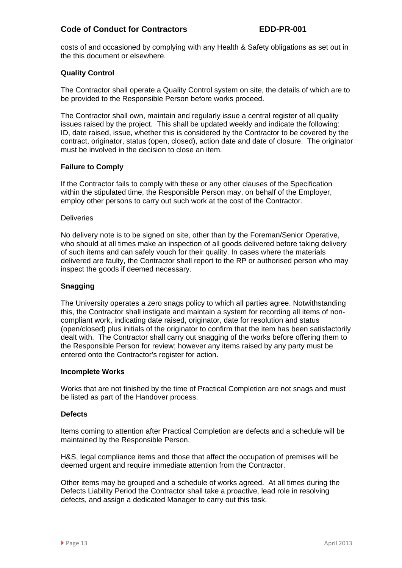costs of and occasioned by complying with any Health & Safety obligations as set out in the this document or elsewhere.

# **Quality Control**

The Contractor shall operate a Quality Control system on site, the details of which are to be provided to the Responsible Person before works proceed.

The Contractor shall own, maintain and regularly issue a central register of all quality issues raised by the project. This shall be updated weekly and indicate the following: ID, date raised, issue, whether this is considered by the Contractor to be covered by the contract, originator, status (open, closed), action date and date of closure. The originator must be involved in the decision to close an item.

## **Failure to Comply**

If the Contractor fails to comply with these or any other clauses of the Specification within the stipulated time, the Responsible Person may, on behalf of the Employer, employ other persons to carry out such work at the cost of the Contractor.

#### **Deliveries**

No delivery note is to be signed on site, other than by the Foreman/Senior Operative, who should at all times make an inspection of all goods delivered before taking delivery of such items and can safely vouch for their quality. In cases where the materials delivered are faulty, the Contractor shall report to the RP or authorised person who may inspect the goods if deemed necessary.

# **Snagging**

The University operates a zero snags policy to which all parties agree. Notwithstanding this, the Contractor shall instigate and maintain a system for recording all items of noncompliant work, indicating date raised, originator, date for resolution and status (open/closed) plus initials of the originator to confirm that the item has been satisfactorily dealt with. The Contractor shall carry out snagging of the works before offering them to the Responsible Person for review; however any items raised by any party must be entered onto the Contractor's register for action.

#### **Incomplete Works**

Works that are not finished by the time of Practical Completion are not snags and must be listed as part of the Handover process.

# **Defects**

Items coming to attention after Practical Completion are defects and a schedule will be maintained by the Responsible Person.

H&S, legal compliance items and those that affect the occupation of premises will be deemed urgent and require immediate attention from the Contractor.

Other items may be grouped and a schedule of works agreed. At all times during the Defects Liability Period the Contractor shall take a proactive, lead role in resolving defects, and assign a dedicated Manager to carry out this task.